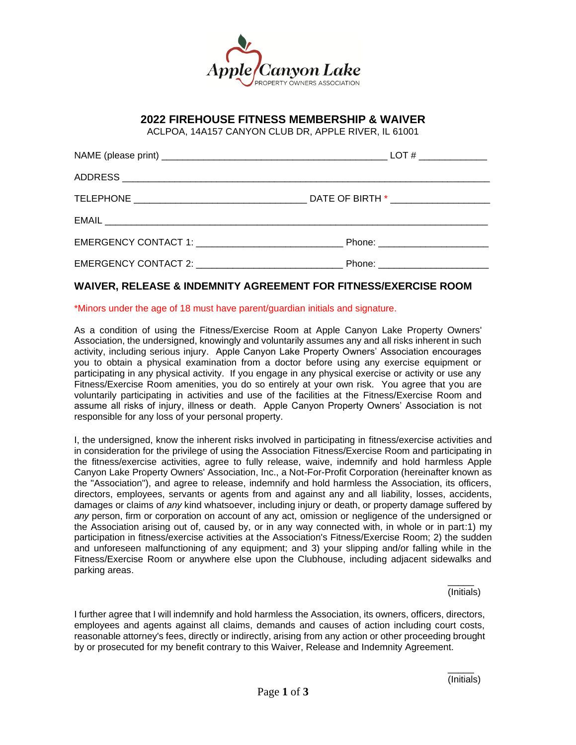

## **2022 FIREHOUSE FITNESS MEMBERSHIP & WAIVER**

ACLPOA, 14A157 CANYON CLUB DR, APPLE RIVER, IL 61001

| Phone: _________________________  |
|-----------------------------------|
| Phone: __________________________ |

## **WAIVER, RELEASE & INDEMNITY AGREEMENT FOR FITNESS/EXERCISE ROOM**

## \*Minors under the age of 18 must have parent/guardian initials and signature.

As a condition of using the Fitness/Exercise Room at Apple Canyon Lake Property Owners' Association, the undersigned, knowingly and voluntarily assumes any and all risks inherent in such activity, including serious injury. Apple Canyon Lake Property Owners' Association encourages you to obtain a physical examination from a doctor before using any exercise equipment or participating in any physical activity. If you engage in any physical exercise or activity or use any Fitness/Exercise Room amenities, you do so entirely at your own risk. You agree that you are voluntarily participating in activities and use of the facilities at the Fitness/Exercise Room and assume all risks of injury, illness or death. Apple Canyon Property Owners' Association is not responsible for any loss of your personal property.

I, the undersigned, know the inherent risks involved in participating in fitness/exercise activities and in consideration for the privilege of using the Association Fitness/Exercise Room and participating in the fitness/exercise activities, agree to fully release, waive, indemnify and hold harmless Apple Canyon Lake Property Owners' Association, Inc., a Not-For-Profit Corporation (hereinafter known as the "Association"), and agree to release, indemnify and hold harmless the Association, its officers, directors, employees, servants or agents from and against any and all liability, losses, accidents, damages or claims of *any* kind whatsoever, including injury or death, or property damage suffered by *any* person, firm or corporation on account of any act, omission or negligence of the undersigned or the Association arising out of, caused by, or in any way connected with, in whole or in part:1) my participation in fitness/exercise activities at the Association's Fitness/Exercise Room; 2) the sudden and unforeseen malfunctioning of any equipment; and 3) your slipping and/or falling while in the Fitness/Exercise Room or anywhere else upon the Clubhouse, including adjacent sidewalks and parking areas.

> $\overline{\phantom{a}}$ (Initials)

I further agree that I will indemnify and hold harmless the Association, its owners, officers, directors, employees and agents against all claims, demands and causes of action including court costs, reasonable attorney's fees, directly or indirectly, arising from any action or other proceeding brought by or prosecuted for my benefit contrary to this Waiver, Release and Indemnity Agreement.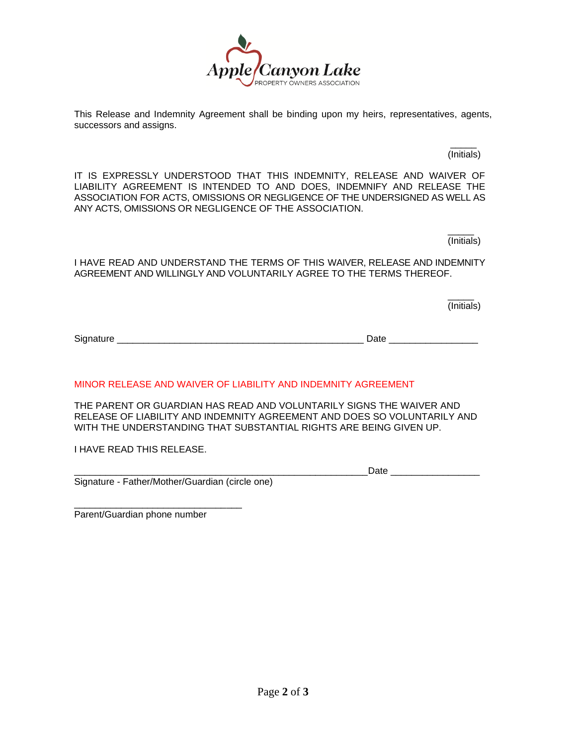

This Release and Indemnity Agreement shall be binding upon my heirs, representatives, agents, successors and assigns.

> \_\_\_\_\_ (Initials)

IT IS EXPRESSLY UNDERSTOOD THAT THIS INDEMNITY, RELEASE AND WAIVER OF LIABILITY AGREEMENT IS INTENDED TO AND DOES, INDEMNIFY AND RELEASE THE ASSOCIATION FOR ACTS, OMISSIONS OR NEGLIGENCE OF THE UNDERSIGNED AS WELL AS ANY ACTS, OMISSIONS OR NEGLIGENCE OF THE ASSOCIATION.

> \_\_\_\_\_ (Initials)

I HAVE READ AND UNDERSTAND THE TERMS OF THIS WAIVER, RELEASE AND INDEMNITY AGREEMENT AND WILLINGLY AND VOLUNTARILY AGREE TO THE TERMS THEREOF.

> $\overline{\phantom{a}}$ (Initials)

Signature \_\_\_\_\_\_\_\_\_\_\_\_\_\_\_\_\_\_\_\_\_\_\_\_\_\_\_\_\_\_\_\_\_\_\_\_\_\_\_\_\_\_\_\_\_\_\_ Date \_\_\_\_\_\_\_\_\_\_\_\_\_\_\_\_\_

MINOR RELEASE AND WAIVER OF LIABILITY AND INDEMNITY AGREEMENT

THE PARENT OR GUARDIAN HAS READ AND VOLUNTARILY SIGNS THE WAIVER AND RELEASE OF LIABILITY AND INDEMNITY AGREEMENT AND DOES SO VOLUNTARILY AND WITH THE UNDERSTANDING THAT SUBSTANTIAL RIGHTS ARE BEING GIVEN UP.

I HAVE READ THIS RELEASE.

\_\_\_\_\_\_\_\_\_\_\_\_\_\_\_\_\_\_\_\_\_\_\_\_\_\_\_\_\_\_\_\_\_\_\_\_\_\_\_\_\_\_\_\_\_\_\_\_\_\_\_\_\_\_\_\_Date \_\_\_\_\_\_\_\_\_\_\_\_\_\_\_\_\_

Signature - Father/Mother/Guardian (circle one)

\_\_\_\_\_\_\_\_\_\_\_\_\_\_\_\_\_\_\_\_\_\_\_\_\_\_\_\_\_\_\_\_ Parent/Guardian phone number